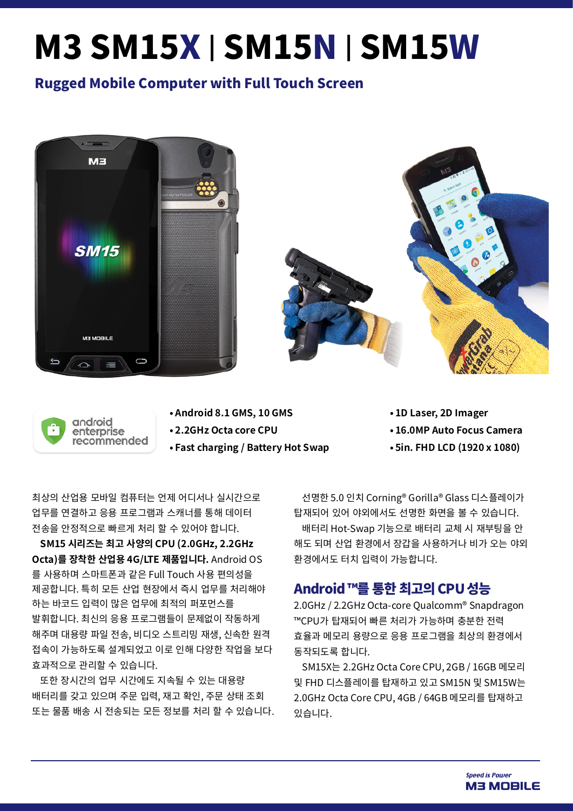# M3 SM15X | SM15N | SM15W

### Rugged Mobile Computer with Full Touch Screen





- **• Android 8.1 GMS, 10 GMS**
- **• 2.2GHz Octa core CPU**
- **• Fast charging / Battery Hot Swap**
- **• 1D Laser, 2D Imager**
- **• 16.0MP Auto Focus Camera**
- **• 5in. FHD LCD (1920 x 1080)**

최상의 산업용 모바일 컴퓨터는 언제 어디서나 실시간으로 업무를 연결하고 응용 프로그램과 스캐너를 통해 데이터 전송을 안정적으로 빠르게 처리 할 수 있어야 합니다.

**SM15 시리즈는 최고 사양의 CPU (2.0GHz, 2.2GHz Octa)를 장착한 산업용 4G/LTE 제품입니다.** Android OS 를 사용하며 스마트폰과 같은 Full Touch 사용 편의성을 제공합니다. 특히 모든 산업 현장에서 즉시 업무를 처리해야 하는 바코드 입력이 많은 업무에 최적의 퍼포먼스를 발휘합니다. 최신의 응용 프로그램들이 문제없이 작동하게 해주며 대용량 파일 전송, 비디오 스트리밍 재생, 신속한 원격 접속이 가능하도록 설계되었고 이로 인해 다양한 작업을 보다 효과적으로 관리할 수 있습니다.

또한 장시간의 업무 시간에도 지속될 수 있는 대용량 배터리를 갖고 있으며 주문 입력, 재고 확인, 주문 상태 조회 또는 물품 배송 시 전송되는 모든 정보를 처리 할 수 있습니다.

선명한 5.0 인치 Corning® Gorilla® Glass 디스플레이가 탑재되어 있어 야외에서도 선명한 화면을 볼 수 있습니다. 배터리 Hot-Swap 기능으로 배터리 교체 시 재부팅을 안 해도 되며 산업 환경에서 장갑을 사용하거나 비가 오는 야외 환경에서도 터치 입력이 가능합니다.

#### Android ™를 통한 최고의 CPU 성능

2.0GHz / 2.2GHz Octa-core Qualcomm® Snapdragon ™CPU가 탑재되어 빠른 처리가 가능하며 충분한 전력 효율과 메모리 용량으로 응용 프로그램을 최상의 환경에서 동작되도록 합니다.

SM15X는 2.2GHz Octa Core CPU, 2GB / 16GB 메모리 및 FHD 디스플레이를 탑재하고 있고 SM15N 및 SM15W는 2.0GHz Octa Core CPU, 4GB / 64GB 메모리를 탑재하고 있습니다.